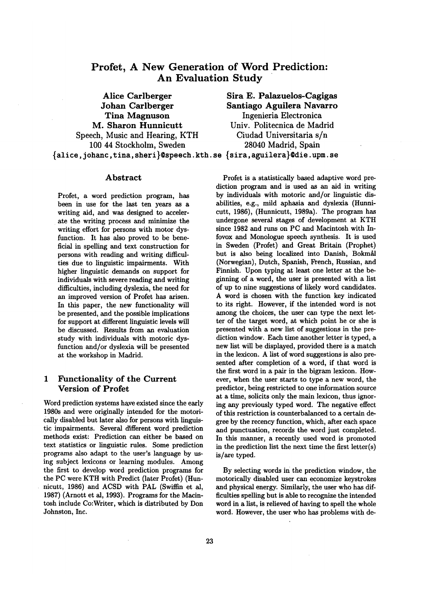# **Profet, A New Generation of Word Prediction: An Evaluation Study**

**Alice Carlberger Johan Carlberger Tina Magnuson M. Sharon** Hunnicutt Speech, Music and Hearing, KTH 100 44 Stockholm, Sweden **Sira E. Palazuelos-Cagigas Santiago Aguilera Navarro Ingenieria Electronica Univ. Politecnica de Madrid Ciudad Universitaria s/n 28040 Madrid, Spain**  {alice,johanc,tina,sheri}@speech.kth.se {sira,aguilera}@die.upm.se

#### Abstract

Profet, a word prediction program, has been in use for the last ten years as a writing aid, and was designed to accelerate the writing process and minimize the writing effort for persons with motor dysfunction. It has also proved to be beneficial in spelling and text construction for persons with reading and writing difficulties due to linguistic impairments. With higher linguistic demands on support for individuals with severe reading and writing difficulties, including dyslexia, the need for an improved version of Profet has arisen. In this paper, the new functionality will be presented, and the possible implications for support at different linguistic levels will be discussed. Results from an evaluation study with individuals with motoric dysfunction and/or dyslexia will be presented at the workshop in Madrid.

## 1 Functionality of the Current Version of Profet

Word prediction systems have existed since the early 1980s and were originally intended for the motorically disabled but later also for persons with linguistic impairments. Several different word prediction methods exist: Prediction can either be based on text statistics or linguistic rules. Some prediction programs also adapt to the user's language by using subject lexicons or learning modules. Among the first to develop word prediction programs for the PC were KTH with Predict (later Profet) (Hunnicutt, 1986) and ACSD with PAL (Swiffin et al, 1987) (Arnott et al, 1993). Programs for the Macintosh include Co:Writer, which is distributed by Don Johnston, Inc.

Profet is a statistically based adaptive word prediction program and is used as an aid in writing by individuals with motoric and/or linguistic disabilities, e.g., mild aphasia and dyslexia (Hunnicutt, 1986), (Hunnicutt, 1989a). The program has undergone several stages of development at KTH since 1982 and runs on PC and Macintosh with Infovox and Monologue speech synthesis. It is used in Sweden (Profet) and Great Britain (Prophet) but is also being localized into Danish, Bokmål (Norwegian), Dutch, Spanish, French, Russian, and Finnish. Upon typing at least one letter at the beginning of a word, the user is presented with a list of up to nine suggestions of likely word candidates. A word is chosen with the function key indicated to its right. However, if the intended word is not among the choices, the user can type the next letter of the target word, at which point he or she is presented with a new list of suggestions in the prediction window. Each time another letter is typed, a new list will be displayed, provided there is a match in the lexicon. A list of word suggestions is also presented after completion of a word, if that word is the first word in a pair in the bigram lexicon. However, when the user starts to type a new word, the predictor, being restricted to one information source at a time, solicits only the main lexicon, thus ignoring any previously typed word. The negative effect of this restriction is counterbalanced to a certain degree by the recency function, which, after each space and punctuation, records the word just completed. In this manner, a recently used word is promoted in the prediction list the next time the first letter(s) is/are typed.

By selecting words in the prediction window, the motorically disabled user can economize keystrokes and physical energy. Similarly, the user who has difficulties spelling but is able to recognize the intended word in a list, is relieved of having to spell the whole word. However, the user who has problems with de-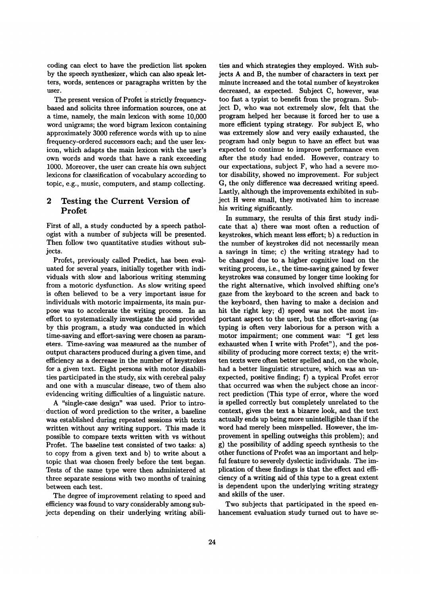coding can elect to have the prediction list spoken by the speech synthesizer, which can also speak letters, words, sentences or paragraphs written by the user.

The present version of Profet is strictly frequencybased and solicits three information sources, one at a time, namely, the main lexicon with some 10,000 word unigrams; the word bigram lexicon containing approximately 3000 reference words with up to nine frequency-ordered successors each; and the user lexicon, which adapts the main lexicon with the user's own words and words that have a rank exceeding 1000. Moreover, the user can create his own subject lexicons for classification of vocabulary according to topic, e.g., music, computers, and stamp collecting.

## 2 Testing the Current Version of Profet

First of all, a study conducted by a speech pathologist with a number of subjects will be presented. Then follow two quantitative studies without subjects.

Profet, previously called Predict, has been evaluated for several years, initially together with individuals with slow and laborious writing stemming from a motoric dysfunction. As slow writing speed is often believed to be a very important issue for individuals with motoric impairments, its main purpose was to accelerate the writing process. In an effort to systematically investigate the aid provided by this program, a study was conducted in which time-saving and effort-saving were chosen as parameters. Time-saving was measured as the number of output characters produced during a given time, and efficiency as a decrease in the number of keystrokes for a given text. Eight persons with motor disabilities participated in the study, six with cerebral palsy and one with a muscular disease, two of them also evidencing writing difficulties of a linguistic nature.

A "single-case design" was used. Prior to introduction of word prediction to the writer, a baseline was established during repeated sessions with texts written without any writing support. This made it possible to compare texts written with vs without Profet. The baseline test consisted of two tasks: a) to copy from a given text and b) to write about a topic that was chosen freely before the test began. Tests of the same type were then administered at three separate sessions with two months of training between each test.

The degree of improvement relating to speed and efficiency was found to vary considerably among subjects depending on their underlying writing abilities and which strategies they employed. With subjects A and B, the number of characters in text per minute increased and the total number of keystrokes decreased, as expected. Subject C, however, was too fast a typist to benefit from the program. Subject D, who was not extremely slow, felt that the program helped her because it forced her to use a more efficient typing strategy. For subject E, who was extremely slow and very easily exhausted, the program had only begun to have an effect but was expected to continue to improve performance even after the study had ended. However, contrary to our expectations, subject F, who had a severe motor disability, showed no improvement. For subject G, the only difference was decreased writing speed. Lastly, although the improvements exhibited in subject H were small, they motivated him to increase his writing significantly.

In summary, the results of this first study indicate that a) there was most often a reduction of keystrokes, which meant less effort; b) a reduction in the number of keystrokes did not necessarily mean a savings in time; c) the writing strategy had to be changed due to a higher cognitive load on the writing process, i.e., the time-saving gained by fewer keystrokes was consumed by longer time looking for the right alternative, which involved shifting one's gaze from the keyboard to the screen and back to the keyboard, then having to make a decision and hit the right key; d) speed was not the most important aspect to the user, but the effort-saving (as typing is often very laborious for a person with a motor impairment; one comment was: "I get less exhausted when I write with Profet"), and the possibility of producing more correct texts; e) the written texts were often better spelled and, on the whole, had a better linguistic structure, which was an unexpected, positive finding; f) a typical Profet error that occurred was when the subject chose an incorrect prediction (This type of error, where the word is spelled correctly but completely unrelated to the context, gives the text a bizarre look, and the text actually ends up being more unintelligible than if the word had merely been misspelled. However, the improvement in spelling outweighs this problem); and g) the possibility of adding speech synthesis to the other functions of Profet was an important and helpful feature to severely dyslectic individuals. The implication of these findings is that the effect and efficiency of a writing aid of this type to a great extent is dependent upon the underlying writing strategy and skills of the user.

Two subjects that participated in the speed enhancement evaluation study turned out to have se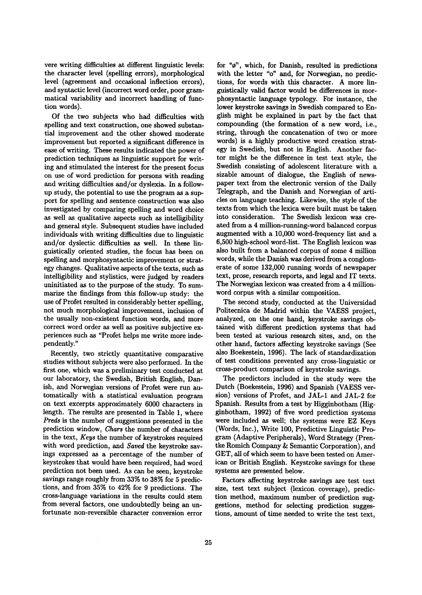vere writing difficulties at different linguistic levels: the character level (spelling errors), morphological level (agreement and occasional inflection errors), and syntactic level (incorrect word order, poor grammatical variability and incorrect handling of function words).

Of the two subjects who had difficulties with spelling and text construction, one showed substantial improvement and the other showed moderate improvement but reported a significant difference in ease of writing. These results indicated the power of prediction techniques as linguistic support for writing and stimulated the interest for the present focus on use of word prediction for persons with reading and writing difficulties and/or dyslexia. In a followup study, the potential to use the program as a support for spelling and sentence construction was also investigated by comparing spelling and word choice as well as qualitative aspects such as intelligibility and general style. Subsequent studies have included individuals with writing difficulties due to linguistic and/or dyslectic difficulties as well. In these linguistically oriented studies, the focus has been on spelling and morphosyntactic improvement or strategy changes. Qualitative aspects of the texts, such as intelligibility and stylistics, were judged by readers uninitiated as to the purpose of the study. To summarize the findings from this follow-up study: the use of Profet resulted in considerably better spelling, not much morphological improvement, inclusion of the usually non-existent function words, and more correct word order as well as positive subjective experiences such as "Profet helps me write more independently."

Recently, two strictly quantitative comparative studies without subjects were also performed. In the first one, which was a preliminary test conducted at our laboratory, the Swedish, British English, Danish, and Norwegian versions of Profet were run automatically with a statistical evaluation program on text excerpts approximately 6000 characters in length. The results are presented in Table 1, where *Preds* is the number of suggestions presented in the prediction window, *Chars* the number of characters in the text, *Keys* the number of keystrokes required with word prediction, and *Saved* the keystroke savings expressed as a percentage of the number of keystrokes that would have been required, had word prediction not been used. As can be seen, keystroke savings range roughly from 33% to 38% for 5 predictions, and from 35% to 42% for 9 predictions. The cross-language variations in the results could stem from several factors, one undoubtedly being an unfortunate non-reversible character conversion error

 $\mathcal{L}_{\mathcal{A}}$ 

for "¢", which, for Danish, resulted in predictions with the letter "o" and, for Norwegian, no predictions, for words with this character. A more linguistically valid factor would be differences in morphosyntactic language typology. For instance, the lower keystroke savings in Swedish compared to English might be explained in part by the fact that compounding (the formation of a new word, i.e., string, through the concatenation of two or more words) is a highly productive word creation strategy in Swedish, but not in English. Another factor might be the difference in test text style, the Swedish consisting of adolescent literature with a sizable amount of dialogue, the English of newspaper text from the electronic version of the Daily Telegraph, and the Danish and Norwegian of articles on language teaching. Likewise, the style of the texts from which the lexica were built must be taken into consideration. The Swedish lexicon was created from a 4 million-running-word balanced corpus augmented with a 10,000 word-frequency list and a 6,500 high-school word-list. The English lexicon was also built from a balanced corpus of some 4 million words, while the Danish was derived from a conglomerate of some 132,000 running words of newspaper text, prose, research reports, and legal and IT texts. The Norwegian lexicon was created from a 4 millionword corpus with a similar composition.

The second study, conducted at the Universidad Politecnica de Madrid within the VAESS project, analyzed, on the one hand, keystroke savings obtained with different prediction systems that had been tested at various research sites, and, on the other hand, factors affecting keystroke savings (See also Boekestein, 1996). The lack of standardization of test conditions prevented any cross-linguistic or cross-product comparison of keystroke savings.

The predictors included in the study were the Dutch (Boekestein, 1996) and Spanish (VAESS version) versions of Profet, and JAL-1 and JAL-2 for Spanish. Results from a test by Higginbotham (Higginbotham, 1992) of five word prediction systems were included as well; the systems were EZ Keys (Words, Inc.), Write 100, Predictive Linguistic Program (Adaptive Peripherals), Word Strategy (Prentke Romich Company & Semantic Corporation), and GET, all of which seem to have been tested on American or British English. Keystroke savings for these systems are presented below.

Factors affecting keystroke savings are test text size, test text subject (lexicon coverage), prediction method, maximum number of prediction suggestions, method for selecting prediction suggestions, amount of time needed to write the test text,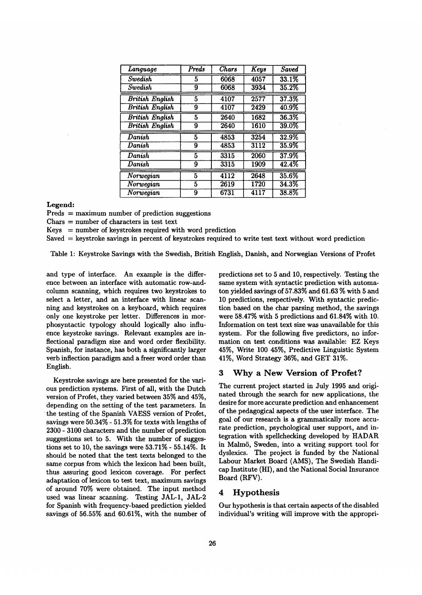| Language                     | Preds          | <b>Chars</b> | Keys | <b>Saved</b> |
|------------------------------|----------------|--------------|------|--------------|
| <b>Swedish</b>               | 5              | 6068         | 4057 | 33.1%        |
| <b>Swedish</b>               | 9              | 6068         | 3934 | 35.2%        |
| <b>British English</b>       | 5              | 4107         | 2577 | 37.3%        |
| <b>British English</b>       | 9              | 4107         | 2429 | 40.9%        |
| <b>British English</b>       | 5              | 2640         | 1682 | 36.3%        |
| <b>British English</b>       | 9              | 2640         | 1610 | $39.0\%$     |
| Danish                       | 5              | 4853         | 3254 | 32.9%        |
| Danish                       | 9              | 4853         | 3112 | 35.9%        |
| $\overline{\mathit{Danish}}$ | 5              | 3315         | 2060 | 37.9%        |
| Danish                       | 9              | 3315         | 1909 | 42.4%        |
| Norwegian                    | $\overline{5}$ | 4112         | 2648 | 35.6%        |
| Norwegian                    | 5              | 2619         | 1720 | 34.3%        |
| Norwegian                    | 9              | 6731         | 4117 | 38.8%        |

**Legend:** 

 $Preds = maximum number of prediction suggestions$ 

Chars = number of characters in test text

 $Kevs = number of kevstrokes required with word prediction$ 

Saved = keystroke savings in percent of keystrokes required to write test text without word prediction

Table 1: Keystroke Savings with the Swedish, British English, Danish, and Norwegian Versions of Profet

and type of interface. An example is the difference between an interface with automatic row-andcolumn scanning, which requires two keystrokes to select a letter, and an interface with linear scanning and keystrokes on a keyboard, which requires only one keystroke per letter. Differences in morphosyntactic typology should logically also influence keystroke savings. Relevant examples are inflectional paradigm size and word order flexibility. Spanish, for instance, has both a significantly larger verb inflection paradigm and a freer word order than English.

Keystroke savings are here presented for the various prediction systems. First of all, with the Dutch version of Profet, they varied between 35% and 45%, depending on the setting of the test parameters. In the testing of the Spanish VAESS version of Profet, savings were 50.34% - 51.3% for texts with lengths of 2300 - 3100 characters and the number of prediction suggestions set to 5. With the number of suggestions set to 10, the savings were 53.71% - 55.14%. It should be noted that the test texts belonged to the same corpus from which the lexicon had been built, thus assuring good lexicon coverage. For perfect adaptation of lexicon to test text, maximum savings of around 70% were obtained. The input method used was linear scanning. Testing JAL-1, JAL-2 for Spanish with frequency-based prediction yielded savings of 56.55% and 60.61%, with the number of

predictions set to 5 and 10, respectively. Testing the same system with syntactic prediction with automaton yielded savings of 57.83% and 61.63 % with 5 and 10 predictions, respectively. With syntactic prediction based on the char parsing method, the savings were 58.47% with 5 predictions and 61.84% with 10. Information on test text size was unavailable for this system. For the following five predictors, no information on test conditions was available: EZ Keys 45%, Write 100 45%, Predictive Linguistic System 41%, Word Strategy 36%, and GET 31%.

#### 3 Why a New Version of Profet?

The current project started in July 1995 and originated through the search for new applications, the desire for more accurate prediction and enhancement of the pedagogical aspects of the user interface. The goal of our research is a grammatically more accurate prediction, psychological user support, and integration with spellchecking developed by HADAR in MaimS, Sweden, into a writing support tool for dyslexics. The project is funded by the National Labour Market Board (AMS), The Swedish Handicap Institute (HI), and the National Social Insurance Board (RFV).

#### 4 Hypothesis

Our hypothesis is that certain aspects of the disabled individual's writing will improve with the appropri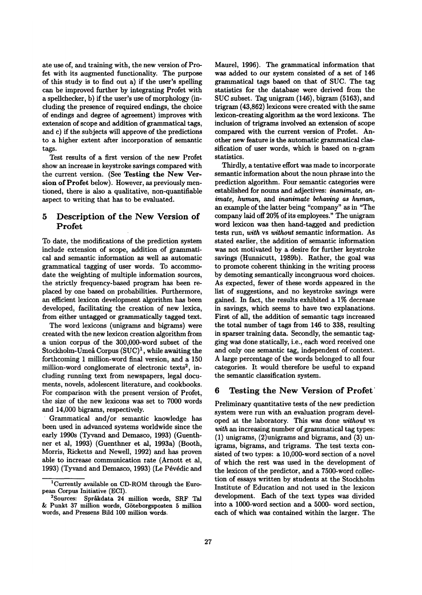ate use of, and training with, the new version of Profet with its augmented functionality. The purpose of this study is to find out a) if the user's spelling can be improved further by integrating Profet with a spellchecker, b) if the user's use of morphology (including the presence of required endings, the choice of endings and degree of agreement) improves with extension of scope and addition of grammatical tags, and c) if the subjects will approve of the predictions to a higher extent after incorporation of semantic tags.

Test results of a first version of the new Profet show an increase in keystroke savings compared with the current version. (See Testing the New Version of Profet below). However, as previously mentioned, there is also a qualitative, non-quantifiable aspect to writing that has to be evaluated.

## **5 Description of the New Version of Profet**

To date, the modifications of the prediction system include extension of scope, addition of grammatical and semantic information as well as automatic grammatical tagging of user words. To accommodate the weighting of multiple information sources, the strictly frequency-based program has been replaced by one based on probabilities. Furthermore, an efficient lexicon development algorithm has been developed, facilitating the creation of new lexica, from either untagged or grammatically tagged text.

The word lexicons (unigrams and bigrams) were created with the new lexicon creation algorithm from a union corpus of the 300,000-word subset of the Stockholm-Umeå Corpus  $(SUC)^1$ , while awaiting the forthcoming 1 million-word final version, and a 150 million-word conglomerate of electronic texts<sup>2</sup>, including running text from newspapers, legal documents, novels, adolescent literature, and cookbooks. For comparison with the present version of Profet, the size of the new lexicons was set to 7000 words and 14,000 bigrams, respectively.

Grammatical and/or semantic knowledge has been used in advanced systems worldwide since the early 1990s (Tyvand and Demasco, 1993) (Guenthnet et al, 1993) (Guenthner et al, 1993a) (Booth, Morris, Ricketts and Newell, 1992) and has proven able to increase communication rate (Arnott et al, 1993) (Tyvand and Demasco, 1993) (Le Pévédic and

Maurel, 1996). The grammatical information that was added to our system consisted of a set of 146 grammatical tags based on that of SUC. The tag statistics for the database were derived from the SUC subset. Tag unigram (146), bigram (5163), and trigram (43,862) lexicons were created with the same lexicon-creating algorithm as the word lexicons. The inclusion of trigrams involved an extension of scope compared with the current version of Profet. Another new feature is the automatic grammatical classification of user words, which is based on n-gram statistics.

Thirdly, a tentative effort was made to incorporate semantic information about the noun phrase into the prediction algorithm. Four semantic categories were established for nouns and adjectives: *inanimate, animate, human, and inanimate behaving as human,*  an example of the latter being "company" as in "The company laid off 20% of its employees." The unigram word lexicon was then hand-tagged and prediction tests run, *with* vs *without* semantic information. As stated earlier, the addition of semantic information was not motivated by a desire for further keystroke savings (Hunnicutt, 1989b). Rather, the goal was to promote coherent thinking in the writing process by demoting semantically incongruous word choices. As expected, fewer of these words appeared in the list of suggestions, and no keystroke savings were gained. In fact, the results exhibited a 1% decrease in savings, which seems to have two explanations. First of all, the addition of semantic tags increased the total number of tags from 146 to 338, resulting in sparser training data. Secondly, the semantic tagging was done statically, i.e., each word received one and only one semantic tag, independent of context. A large percentage of the words belonged to all four categories. It would therefore be useful to expand the semantic classification system.

### **6 Testing the** New Version of Profet"

Preliminary quantitative tests of the new prediction system were run with an evaluation program developed at the laboratory. This was done *without* vs *with* an increasing number of grammatical tag types: (1) unigrams, (2)unigrams and bigrams, and (3) unigrams, bigrams, and trigrams. The test texts consisted of two types: a 10,000-word section of a novel of which the rest was used in the development of the lexicon of the predictor, and a 7500-word collection of essays written by students at the Stockholm Institute of Education and not used in the lexicon development. Each of the text types was divided into a 1000-word section and a 5000- word section, each of which was contained within the larger. The

ICurrently available on CD-ROM through the European Corpus Initiative (ECI).

 $2$ Sources: Språkdata 24 million words, SRF Tal & Punkt 37 million words, Göteborgsposten 5 million words, and Pressens Bild 100 million words.